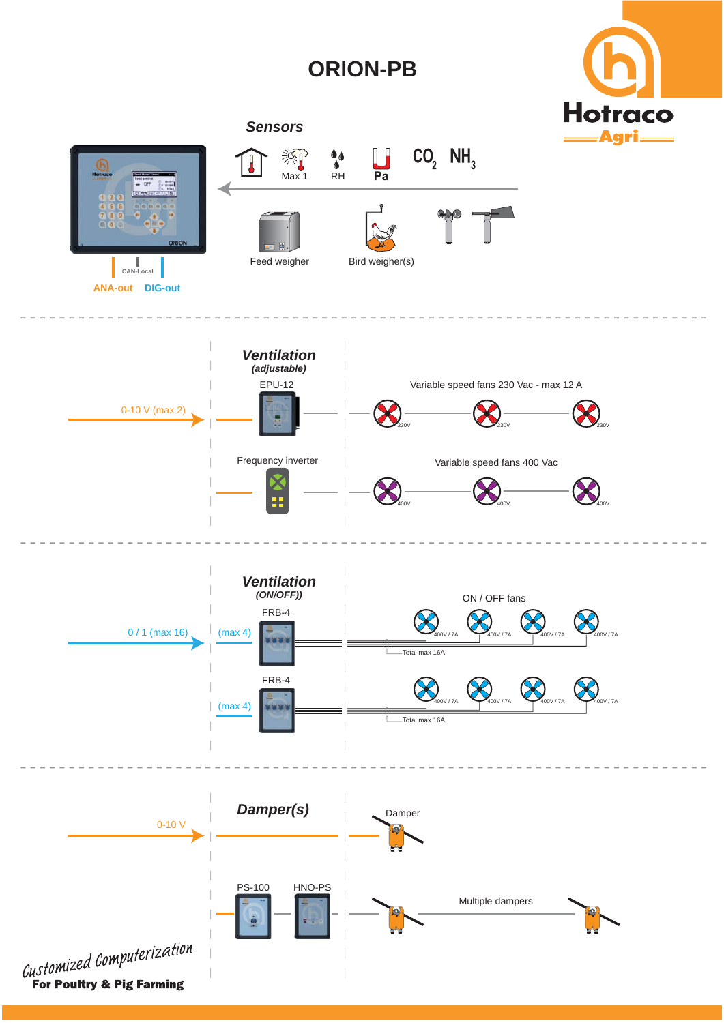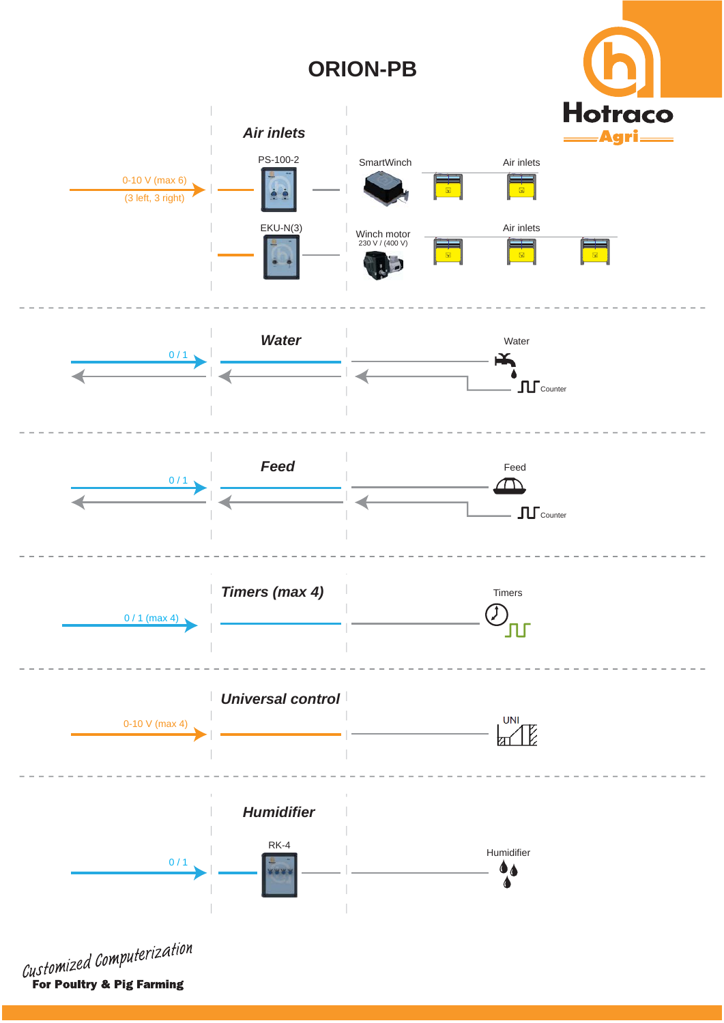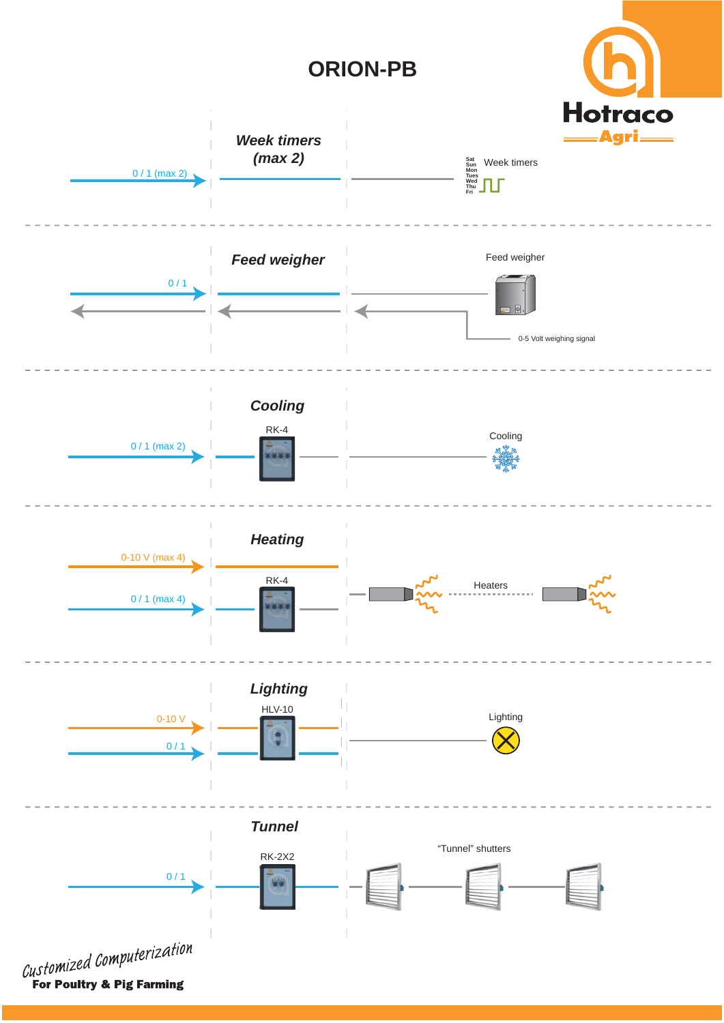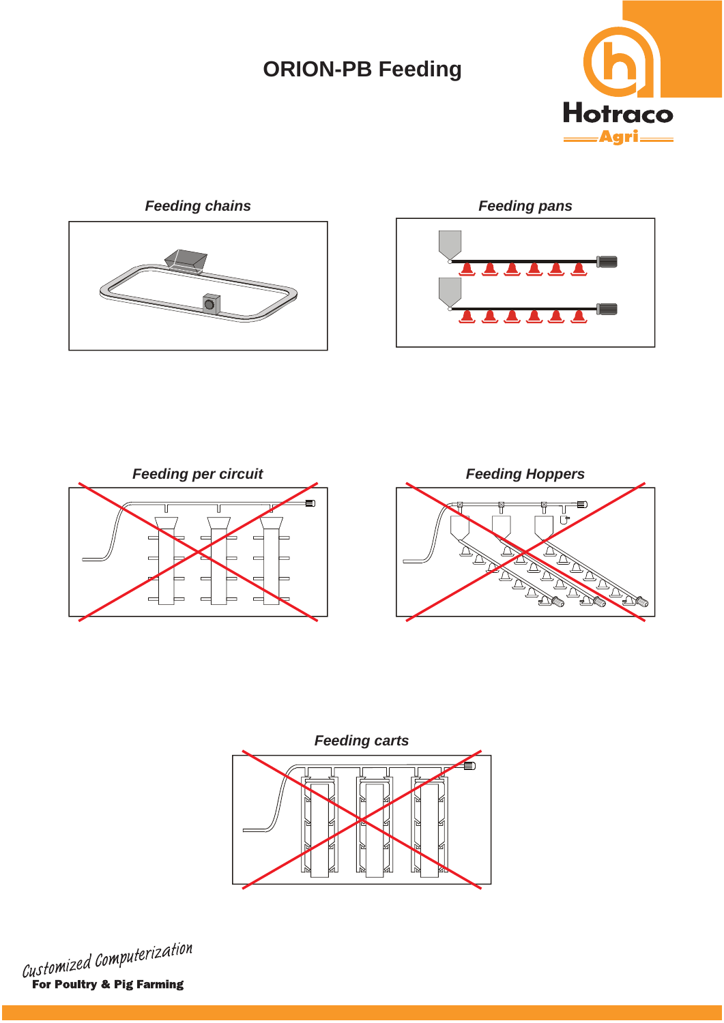## **ORION-PB Feeding**





 $\blacktriangle$ A. A.



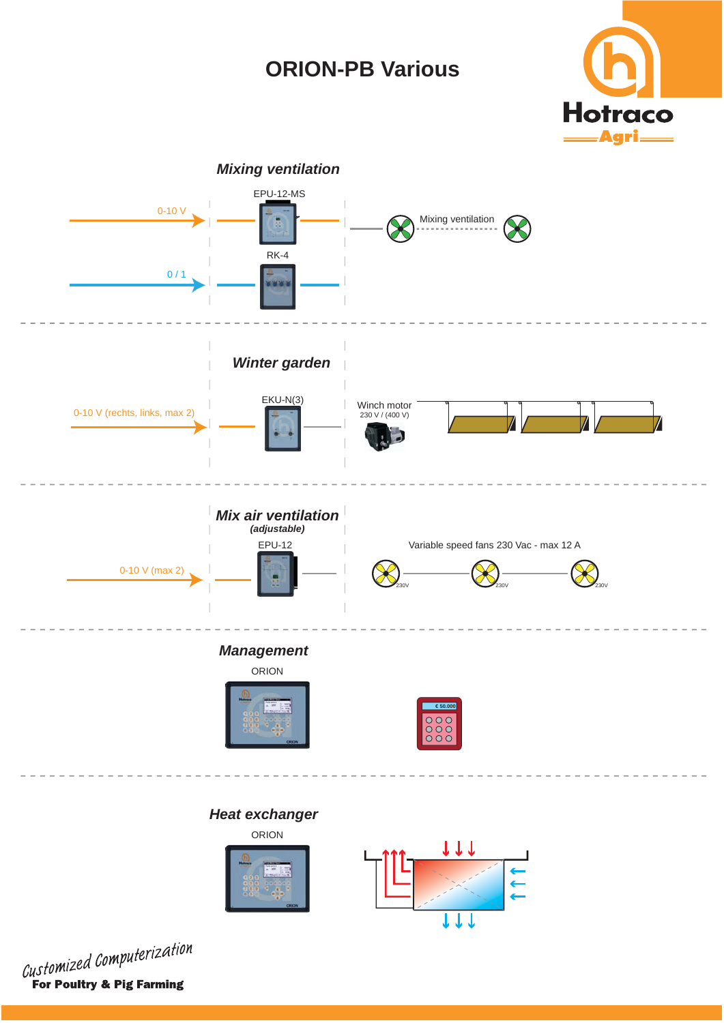## **ORION-PB Various**



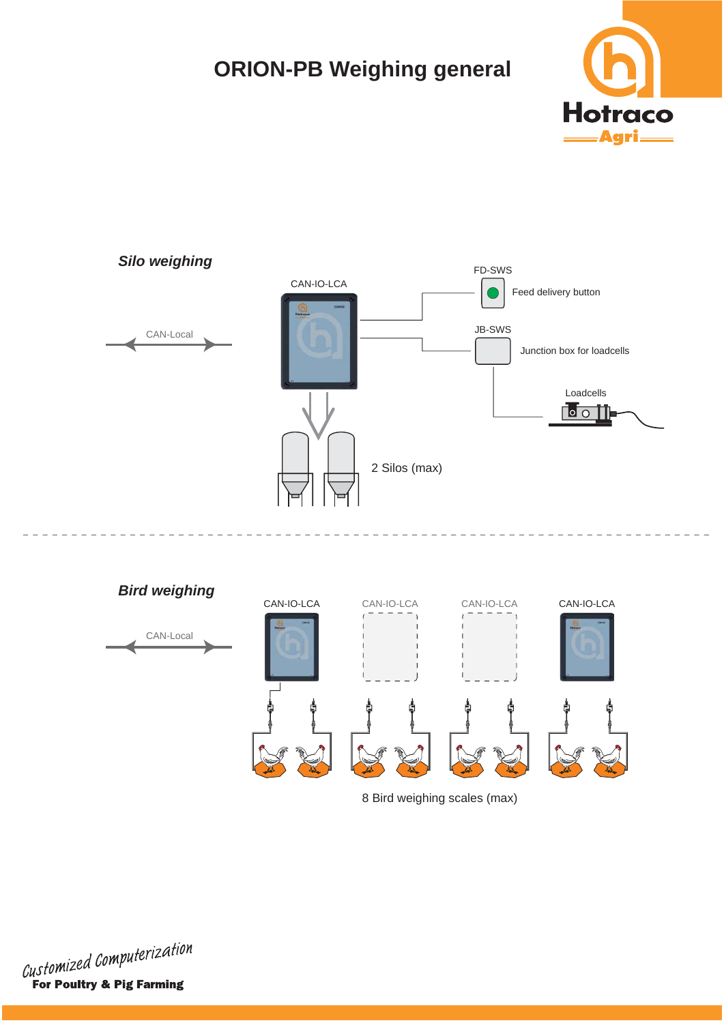# **ORION-PB Weighing general**







8 Bird weighing scales (max)